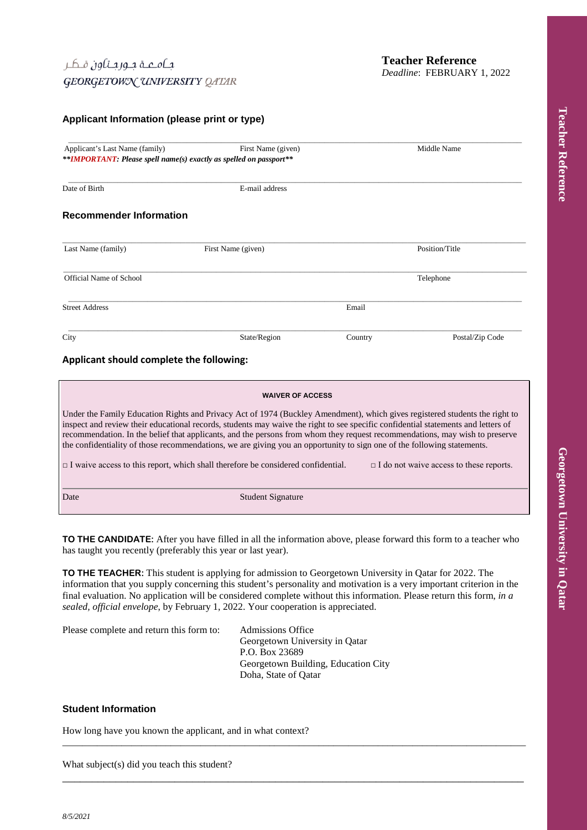## **Applicant Information (please print or type)**

| Applicant's Last Name (family) | First Name (given)<br>**IMPORTANT: Please spell name(s) exactly as spelled on passport** | Middle Name    |                 |  |
|--------------------------------|------------------------------------------------------------------------------------------|----------------|-----------------|--|
|                                |                                                                                          |                |                 |  |
| Date of Birth                  | E-mail address                                                                           |                |                 |  |
| <b>Recommender Information</b> |                                                                                          |                |                 |  |
| Last Name (family)             | First Name (given)                                                                       | Position/Title |                 |  |
| <b>Official Name of School</b> |                                                                                          |                | Telephone       |  |
| <b>Street Address</b>          |                                                                                          | Email          |                 |  |
| City                           | State/Region                                                                             | Country        | Postal/Zip Code |  |

#### **WAIVER OF ACCESS**

Under the Family Education Rights and Privacy Act of 1974 (Buckley Amendment), which gives registered students the right to inspect and review their educational records, students may waive the right to see specific confidential statements and letters of recommendation. In the belief that applicants, and the persons from whom they request recommendations, may wish to preserve the confidentiality of those recommendations, we are giving you an opportunity to sign one of the following statements.

□ I waive access to this report, which shall therefore be considered confidential. □ I do not waive access to these reports.

Date Student Signature

**TO THE CANDIDATE:** After you have filled in all the information above, please forward this form to a teacher who has taught you recently (preferably this year or last year).

**TO THE TEACHER:** This student is applying for admission to Georgetown University in Qatar for 2022. The information that you supply concerning this student's personality and motivation is a very important criterion in the final evaluation. No application will be considered complete without this information. Please return this form, *in a sealed, official envelope*, by February 1, 2022. Your cooperation is appreciated.

\_\_\_\_\_\_\_\_\_\_\_\_\_\_\_\_\_\_\_\_\_\_\_\_\_\_\_\_\_\_\_\_\_\_\_\_\_\_\_\_\_\_\_\_\_\_\_\_\_\_\_\_\_\_\_\_\_\_\_\_\_\_\_\_\_\_\_\_\_\_\_\_\_\_\_\_\_\_\_\_\_\_\_\_\_\_\_\_\_\_\_\_\_\_

\_\_\_\_\_\_\_\_\_\_\_\_\_\_\_\_\_\_\_\_\_\_\_\_\_\_\_\_\_\_\_\_\_\_\_\_\_\_\_\_\_\_\_\_\_\_\_\_\_\_\_\_\_\_\_\_\_\_\_\_\_\_\_\_\_\_\_\_\_\_\_\_\_\_\_\_\_\_

Please complete and return this form to: Admissions Office

Georgetown University in Qatar P.O. Box 23689 Georgetown Building, Education City Doha, State of Qatar

## **Student Information**

How long have you known the applicant, and in what context?

What subject(s) did you teach this student?